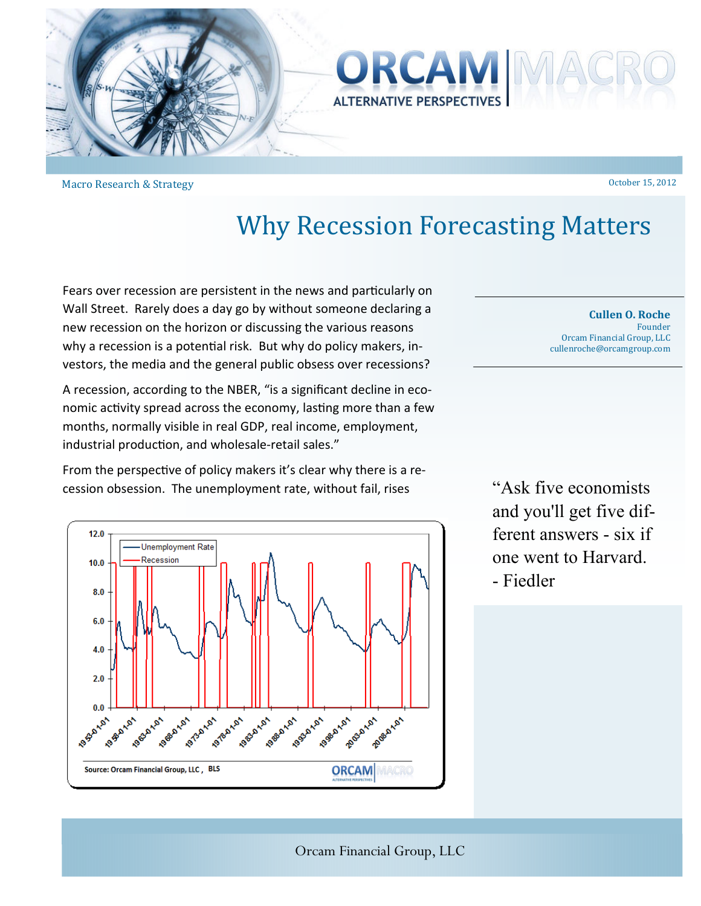



Macro Research & Strategy

## **Why Recession Forecasting Matters**

Fears over recession are persistent in the news and particularly on Wall Street. Rarely does a day go by without someone declaring a new recession on the horizon or discussing the various reasons why a recession is a potential risk. But why do policy makers, investors, the media and the general public obsess over recessions?

A recession, according to the NBER, "is a significant decline in economic activity spread across the economy, lasting more than a few months, normally visible in real GDP, real income, employment, industrial production, and wholesale-retail sales."

From the perspective of policy makers it's clear why there is a recession obsession. The unemployment rate, without fail, rises



**Cullen O. Roche** Founder Orcam Financial Group, LLC cullenroche@orcamgroup.com 

October 15, 2012 

"Ask five economists and you'll get five different answers - six if one went to Harvard. - Fiedler

Orcam Financial Group, LLC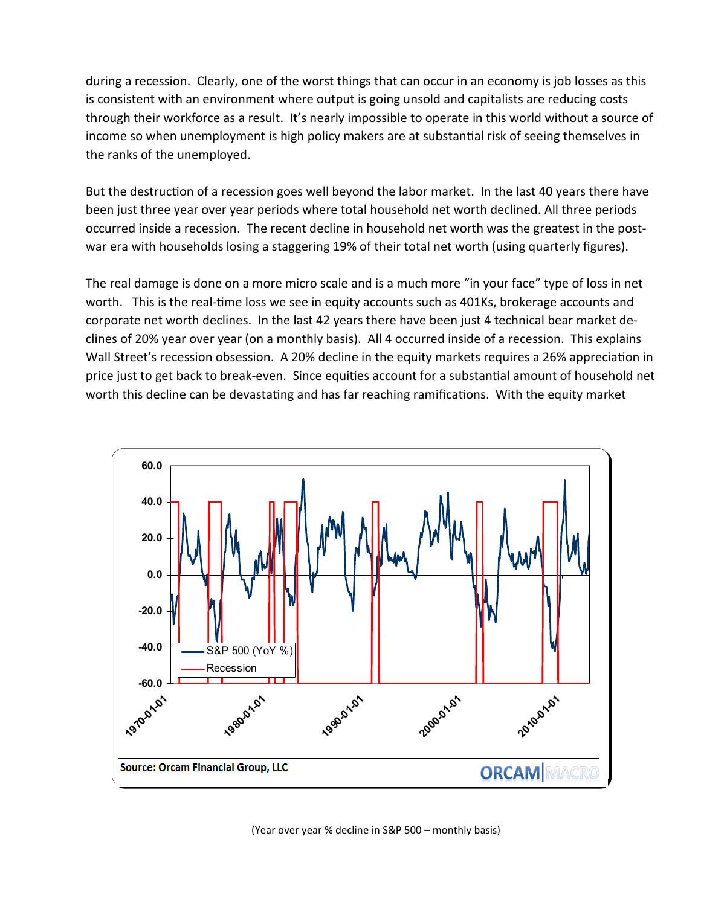during a recession. Clearly, one of the worst things that can occur in an economy is job losses as this is consistent with an environment where output is going unsold and capitalists are reducing costs through their workforce as a result. It's nearly impossible to operate in this world without a source of income so when unemployment is high policy makers are at substantial risk of seeing themselves in the ranks of the unemployed.

But the destruction of a recession goes well beyond the labor market. In the last 40 years there have been just three year over year periods where total household net worth declined. All three periods occurred inside a recession. The recent decline in household net worth was the greatest in the postwar era with households losing a staggering 19% of their total net worth (using quarterly figures).

The real damage is done on a more micro scale and is a much more "in your face" type of loss in net worth. This is the real-time loss we see in equity accounts such as 401Ks, brokerage accounts and corporate net worth declines. In the last 42 years there have been just 4 technical bear market declines of 20% year over year (on a monthly basis). All 4 occurred inside of a recession. This explains Wall Street's recession obsession. A 20% decline in the equity markets requires a 26% appreciation in price just to get back to break-even. Since equities account for a substantial amount of household net worth this decline can be devastating and has far reaching ramifications. With the equity market



(Year over year % decline in S&P 500 – monthly basis)